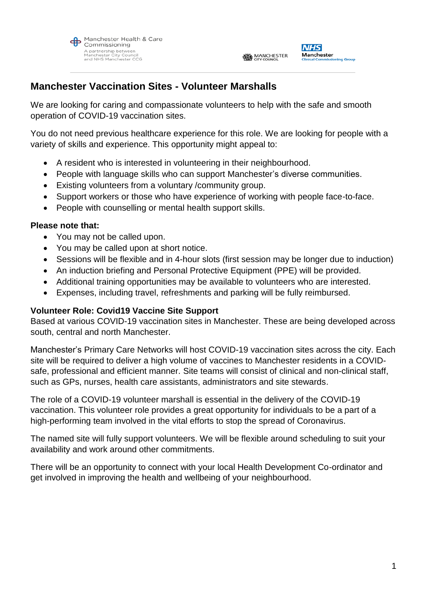



### **Manchester Vaccination Sites - Volunteer Marshalls**

We are looking for caring and compassionate volunteers to help with the safe and smooth operation of COVID-19 vaccination sites.

You do not need previous healthcare experience for this role. We are looking for people with a variety of skills and experience. This opportunity might appeal to:

- A resident who is interested in volunteering in their neighbourhood.
- People with language skills who can support Manchester's diverse communities.
- Existing volunteers from a voluntary /community group.
- Support workers or those who have experience of working with people face-to-face.
- People with counselling or mental health support skills.

#### **Please note that:**

- You may not be called upon.
- You may be called upon at short notice.
- Sessions will be flexible and in 4-hour slots (first session may be longer due to induction)
- An induction briefing and Personal Protective Equipment (PPE) will be provided.
- Additional training opportunities may be available to volunteers who are interested.
- Expenses, including travel, refreshments and parking will be fully reimbursed.

#### **Volunteer Role: Covid19 Vaccine Site Support**

Based at various COVID-19 vaccination sites in Manchester. These are being developed across south, central and north Manchester.

Manchester's Primary Care Networks will host COVID-19 vaccination sites across the city. Each site will be required to deliver a high volume of vaccines to Manchester residents in a COVIDsafe, professional and efficient manner. Site teams will consist of clinical and non-clinical staff, such as GPs, nurses, health care assistants, administrators and site stewards.

The role of a COVID-19 volunteer marshall is essential in the delivery of the COVID-19 vaccination. This volunteer role provides a great opportunity for individuals to be a part of a high-performing team involved in the vital efforts to stop the spread of Coronavirus.

The named site will fully support volunteers. We will be flexible around scheduling to suit your availability and work around other commitments.

There will be an opportunity to connect with your local Health Development Co-ordinator and get involved in improving the health and wellbeing of your neighbourhood.